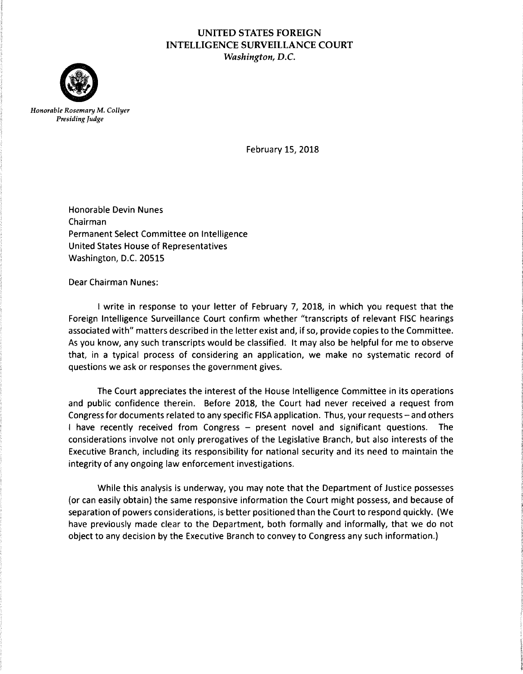## UNITED STATES FOREIGN INTELLIGENCE SURVEILLANCE COURT *Washington,* D.C.



*Honorable Rosemary* M. *Collyer Presiding Judge* 

February 15, 2018

Honorable Devin Nunes Chairman Permanent Select Committee on Intelligence United States House of Representatives Washington, D.C. 20515

Dear Chairman Nunes:

I write in response to your letter of February 7, 2018, in which you request that the Foreign Intelligence Surveillance Court confirm whether "transcripts of relevant FISC hearings associated with" matters described in the letter exist and, if so, provide copies to the Committee. As you know, any such transcripts would be classified. It may also be helpful for me to observe that, in a typical process of considering an application, we make no systematic record of questions we ask or responses the government gives.

The Court appreciates the interest of the House Intelligence Committee in its operations and public confidence therein. Before 2018, the Court had never received a request from Congress for documents related to any specific FISA application. Thus, your requests- and others I have recently received from Congress - present novel and significant questions. The considerations involve not only prerogatives of the Legislative Branch, but also interests of the Executive Branch, including its responsibility for national security and its need to maintain the integrity of any ongoing law enforcement investigations.

While this analysis is underway, you may note that the Department of Justice possesses (or can easily obtain) the same responsive information the Court might possess, and because of separation of powers considerations, is better positioned than the Court to respond quickly. (We have previously made clear to the Department, both formally and informally, that we do not object to any decision by the Executive Branch to convey to Congress any such information.)